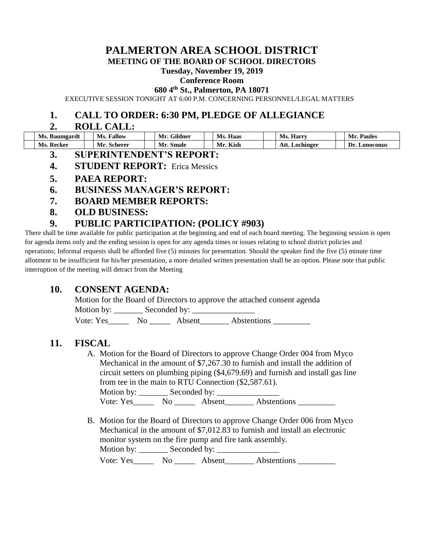# **PALMERTON AREA SCHOOL DISTRICT**

**MEETING OF THE BOARD OF SCHOOL DIRECTORS**

#### **Tuesday, November 19, 2019**

#### **Conference Room**

**680 4th St., Palmerton, PA 18071**

EXECUTIVE SESSION TONIGHT AT 6:00 P.M. CONCERNING PERSONNEL/LEGAL MATTERS

### **1. CALL TO ORDER: 6:30 PM, PLEDGE OF ALLEGIANCE**

### **2. ROLL CALL:**

| Ms. Baumgardt | Fallow<br>Ms. | Gildner<br>Mr | Ms.<br>Haas | Harry<br>Ms.      | М<br><b>Paules</b> |
|---------------|---------------|---------------|-------------|-------------------|--------------------|
| Ms. Recker    | Scherer<br>Mr | Mr.<br>Smale  | Mr. Kish    | Att.<br>Lochinger | Dr.<br>Lonoconus   |

- **3. SUPERINTENDENT'S REPORT:**
- **4. STUDENT REPORT:** Erica Messics
- **5. PAEA REPORT:**
- **6. BUSINESS MANAGER'S REPORT:**
- **7. BOARD MEMBER REPORTS:**
- **8. OLD BUSINESS:**

# **9. PUBLIC PARTICIPATION: (POLICY #903)**

There shall be time available for public participation at the beginning and end of each board meeting. The beginning session is open for agenda items only and the ending session is open for any agenda times or issues relating to school district policies and operations; Informal requests shall be afforded five (5) minutes for presentation. Should the speaker find the five (5) minute time allotment to be insufficient for his/her presentation, a more detailed written presentation shall be an option. Please note that public interruption of the meeting will detract from the Meeting

### **10. CONSENT AGENDA:**

Motion for the Board of Directors to approve the attached consent agenda Motion by: Seconded by:

Vote: Yes No Absent Abstentions

### **11. FISCAL**

A. Motion for the Board of Directors to approve Change Order 004 from Myco Mechanical in the amount of \$7,267.30 to furnish and install the addition of circuit setters on plumbing piping (\$4,679.69) and furnish and install gas line from tee in the main to RTU Connection (\$2,587.61).

Motion by: \_\_\_\_\_\_\_ Seconded by: \_\_\_\_\_\_\_\_\_\_\_\_\_\_\_ Vote:  $Yes$  No Absent Abstentions

B. Motion for the Board of Directors to approve Change Order 006 from Myco Mechanical in the amount of \$7,012.83 to furnish and install an electronic monitor system on the fire pump and fire tank assembly. Motion by: \_\_\_\_\_\_\_ Seconded by: \_\_\_\_\_\_\_\_\_\_\_\_\_\_\_ Vote: Yes\_\_\_\_\_\_\_ No \_\_\_\_\_\_ Absent\_\_\_\_\_\_\_\_ Abstentions \_\_\_\_\_\_\_\_\_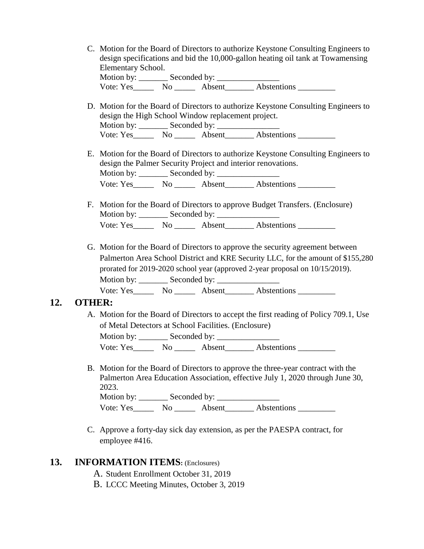C. Motion for the Board of Directors to authorize Keystone Consulting Engineers to design specifications and bid the 10,000-gallon heating oil tank at Towamensing Elementary School. Motion by: \_\_\_\_\_\_\_ Seconded by: \_\_\_\_\_\_\_\_\_\_\_\_\_\_\_

Vote:  $Yes$  No Absent Abstentions

- D. Motion for the Board of Directors to authorize Keystone Consulting Engineers to design the High School Window replacement project. Motion by: \_\_\_\_\_\_\_ Seconded by: \_\_\_\_\_\_\_\_\_\_\_\_\_\_\_ Vote:  $Yes$  No Absent Abstentions
- E. Motion for the Board of Directors to authorize Keystone Consulting Engineers to design the Palmer Security Project and interior renovations. Motion by: \_\_\_\_\_\_\_ Seconded by: \_\_\_\_\_\_\_\_\_\_\_\_\_\_\_ Vote: Yes\_\_\_\_\_\_\_\_\_ No \_\_\_\_\_\_\_\_\_ Absent\_\_\_\_\_\_\_\_\_ Abstentions
- F. Motion for the Board of Directors to approve Budget Transfers. (Enclosure) Motion by: Seconded by: Vote: Yes\_\_\_\_\_\_\_ No \_\_\_\_\_\_\_ Absent\_\_\_\_\_\_\_\_ Abstentions \_\_\_\_\_\_\_\_\_
- G. Motion for the Board of Directors to approve the security agreement between Palmerton Area School District and KRE Security LLC, for the amount of \$155,280 prorated for 2019-2020 school year (approved 2-year proposal on 10/15/2019). Motion by: \_\_\_\_\_\_\_ Seconded by: \_\_\_\_\_\_\_\_\_\_\_\_\_\_\_ Vote: Yes No Absent Abstentions

### **12. OTHER:**

A. Motion for the Board of Directors to accept the first reading of Policy 709.1, Use of Metal Detectors at School Facilities. (Enclosure) Motion by: \_\_\_\_\_\_\_\_\_ Seconded by: \_\_\_\_\_\_\_\_

Vote: Yes\_\_\_\_\_\_\_ No \_\_\_\_\_\_\_ Absent\_\_\_\_\_\_\_\_ Abstentions \_\_\_\_\_\_\_\_\_\_\_

- B. Motion for the Board of Directors to approve the three-year contract with the Palmerton Area Education Association, effective July 1, 2020 through June 30, 2023. Motion by: Seconded by: Vote: Yes\_\_\_\_\_\_\_ No \_\_\_\_\_\_\_ Absent\_\_\_\_\_\_\_\_ Abstentions \_\_\_\_\_\_\_\_\_\_
- C. Approve a forty-day sick day extension, as per the PAESPA contract, for employee #416.

### **13. INFORMATION ITEMS:** (Enclosures)

- A. Student Enrollment October 31, 2019
- B. LCCC Meeting Minutes, October 3, 2019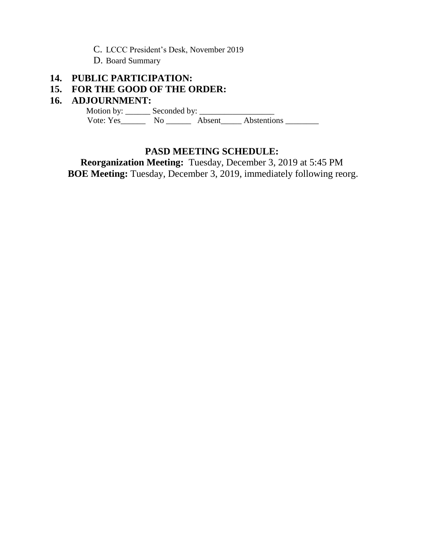- C. LCCC President's Desk, November 2019
- D. Board Summary

# **14. PUBLIC PARTICIPATION:**

# **15. FOR THE GOOD OF THE ORDER:**

### **16. ADJOURNMENT:**

 Motion by: \_\_\_\_\_\_ Seconded by: \_\_\_\_\_\_\_\_\_\_\_\_\_\_\_\_\_\_ Vote: Yes\_\_\_\_\_\_\_\_ No \_\_\_\_\_\_\_ Absent\_\_\_\_\_ Abstentions \_\_\_\_\_\_\_\_\_

# **PASD MEETING SCHEDULE:**

**Reorganization Meeting:** Tuesday, December 3, 2019 at 5:45 PM **BOE Meeting:** Tuesday, December 3, 2019, immediately following reorg.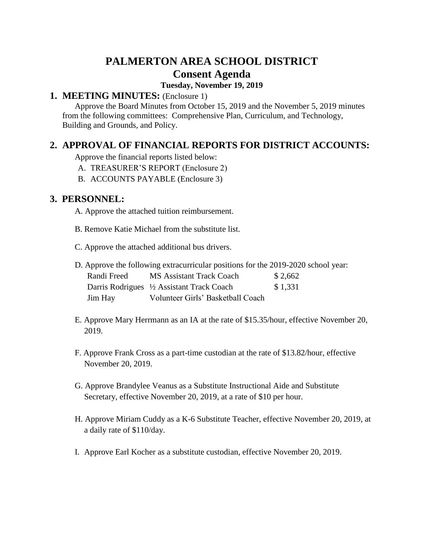# **PALMERTON AREA SCHOOL DISTRICT Consent Agenda**

### **Tuesday, November 19, 2019**

# **1. MEETING MINUTES:** (Enclosure 1)

 Approve the Board Minutes from October 15, 2019 and the November 5, 2019 minutes from the following committees: Comprehensive Plan, Curriculum, and Technology, Building and Grounds, and Policy.

# **2. APPROVAL OF FINANCIAL REPORTS FOR DISTRICT ACCOUNTS:**

Approve the financial reports listed below:

- A. TREASURER'S REPORT (Enclosure 2)
- B. ACCOUNTS PAYABLE (Enclosure 3)

# **3. PERSONNEL:**

A. Approve the attached tuition reimbursement.

- B. Remove Katie Michael from the substitute list.
- C. Approve the attached additional bus drivers.

|             | D. Approve the following extracurricular positions for the 2019-2020 school year: |         |
|-------------|-----------------------------------------------------------------------------------|---------|
| Randi Freed | MS Assistant Track Coach                                                          | \$2,662 |
|             | Darris Rodrigues 1/2 Assistant Track Coach                                        | \$1,331 |
| Jim Hay     | Volunteer Girls' Basketball Coach                                                 |         |

- E. Approve Mary Herrmann as an IA at the rate of \$15.35/hour, effective November 20, 2019.
- F. Approve Frank Cross as a part-time custodian at the rate of \$13.82/hour, effective November 20, 2019.
- G. Approve Brandylee Veanus as a Substitute Instructional Aide and Substitute Secretary, effective November 20, 2019, at a rate of \$10 per hour.
- H. Approve Miriam Cuddy as a K-6 Substitute Teacher, effective November 20, 2019, at a daily rate of \$110/day.
- I. Approve Earl Kocher as a substitute custodian, effective November 20, 2019.